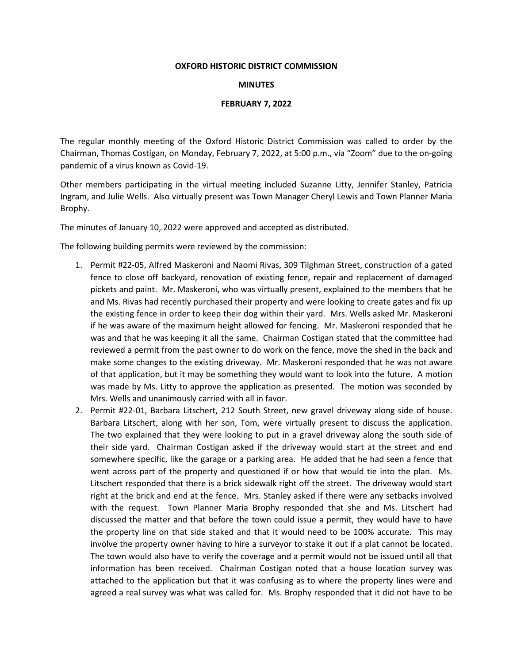## **OXFORD HISTORIC DISTRICT COMMISSION**

## **MINUTES**

## **FEBRUARY 7, 2022**

The regular monthly meeting of the Oxford Historic District Commission was called to order by the Chairman, Thomas Costigan, on Monday, February 7, 2022, at 5:00 p.m., via "Zoom" due to the on-going pandemic of a virus known as Covid-19.

Other members participating in the virtual meeting included Suzanne Litty, Jennifer Stanley, Patricia Ingram, and Julie Wells. Also virtually present was Town Manager Cheryl Lewis and Town Planner Maria Brophy.

The minutes of January 10, 2022 were approved and accepted as distributed.

The following building permits were reviewed by the commission:

- 1. Permit #22-05, Alfred Maskeroni and Naomi Rivas, 309 Tilghman Street, construction of a gated fence to close off backyard, renovation of existing fence, repair and replacement of damaged pickets and paint. Mr. Maskeroni, who was virtually present, explained to the members that he and Ms. Rivas had recently purchased their property and were looking to create gates and fix up the existing fence in order to keep their dog within their yard. Mrs. Wells asked Mr. Maskeroni if he was aware of the maximum height allowed for fencing. Mr. Maskeroni responded that he was and that he was keeping it all the same. Chairman Costigan stated that the committee had reviewed a permit from the past owner to do work on the fence, move the shed in the back and make some changes to the existing driveway. Mr. Maskeroni responded that he was not aware of that application, but it may be something they would want to look into the future. A motion was made by Ms. Litty to approve the application as presented. The motion was seconded by Mrs. Wells and unanimously carried with all in favor.
- 2. Permit #22-01, Barbara Litschert, 212 South Street, new gravel driveway along side of house. Barbara Litschert, along with her son, Tom, were virtually present to discuss the application. The two explained that they were looking to put in a gravel driveway along the south side of their side yard. Chairman Costigan asked if the driveway would start at the street and end somewhere specific, like the garage or a parking area. He added that he had seen a fence that went across part of the property and questioned if or how that would tie into the plan. Ms. Litschert responded that there is a brick sidewalk right off the street. The driveway would start right at the brick and end at the fence. Mrs. Stanley asked if there were any setbacks involved with the request. Town Planner Maria Brophy responded that she and Ms. Litschert had discussed the matter and that before the town could issue a permit, they would have to have the property line on that side staked and that it would need to be 100% accurate. This may involve the property owner having to hire a surveyor to stake it out if a plat cannot be located. The town would also have to verify the coverage and a permit would not be issued until all that information has been received. Chairman Costigan noted that a house location survey was attached to the application but that it was confusing as to where the property lines were and agreed a real survey was what was called for. Ms. Brophy responded that it did not have to be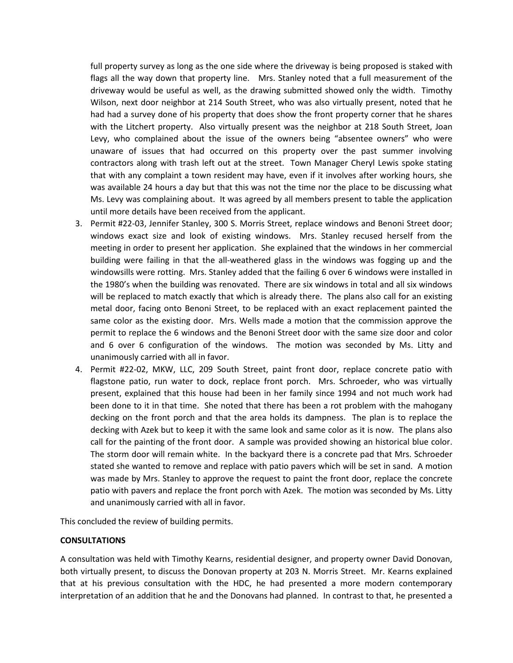full property survey as long as the one side where the driveway is being proposed is staked with flags all the way down that property line. Mrs. Stanley noted that a full measurement of the driveway would be useful as well, as the drawing submitted showed only the width. Timothy Wilson, next door neighbor at 214 South Street, who was also virtually present, noted that he had had a survey done of his property that does show the front property corner that he shares with the Litchert property. Also virtually present was the neighbor at 218 South Street, Joan Levy, who complained about the issue of the owners being "absentee owners" who were unaware of issues that had occurred on this property over the past summer involving contractors along with trash left out at the street. Town Manager Cheryl Lewis spoke stating that with any complaint a town resident may have, even if it involves after working hours, she was available 24 hours a day but that this was not the time nor the place to be discussing what Ms. Levy was complaining about. It was agreed by all members present to table the application until more details have been received from the applicant.

- 3. Permit #22-03, Jennifer Stanley, 300 S. Morris Street, replace windows and Benoni Street door; windows exact size and look of existing windows. Mrs. Stanley recused herself from the meeting in order to present her application. She explained that the windows in her commercial building were failing in that the all-weathered glass in the windows was fogging up and the windowsills were rotting. Mrs. Stanley added that the failing 6 over 6 windows were installed in the 1980's when the building was renovated. There are six windows in total and all six windows will be replaced to match exactly that which is already there. The plans also call for an existing metal door, facing onto Benoni Street, to be replaced with an exact replacement painted the same color as the existing door. Mrs. Wells made a motion that the commission approve the permit to replace the 6 windows and the Benoni Street door with the same size door and color and 6 over 6 configuration of the windows. The motion was seconded by Ms. Litty and unanimously carried with all in favor.
- 4. Permit #22-02, MKW, LLC, 209 South Street, paint front door, replace concrete patio with flagstone patio, run water to dock, replace front porch. Mrs. Schroeder, who was virtually present, explained that this house had been in her family since 1994 and not much work had been done to it in that time. She noted that there has been a rot problem with the mahogany decking on the front porch and that the area holds its dampness. The plan is to replace the decking with Azek but to keep it with the same look and same color as it is now. The plans also call for the painting of the front door. A sample was provided showing an historical blue color. The storm door will remain white. In the backyard there is a concrete pad that Mrs. Schroeder stated she wanted to remove and replace with patio pavers which will be set in sand. A motion was made by Mrs. Stanley to approve the request to paint the front door, replace the concrete patio with pavers and replace the front porch with Azek. The motion was seconded by Ms. Litty and unanimously carried with all in favor.

This concluded the review of building permits.

## **CONSULTATIONS**

A consultation was held with Timothy Kearns, residential designer, and property owner David Donovan, both virtually present, to discuss the Donovan property at 203 N. Morris Street. Mr. Kearns explained that at his previous consultation with the HDC, he had presented a more modern contemporary interpretation of an addition that he and the Donovans had planned. In contrast to that, he presented a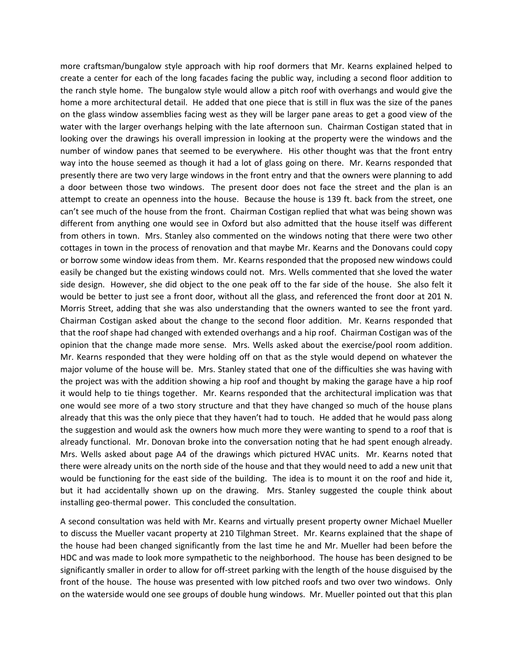more craftsman/bungalow style approach with hip roof dormers that Mr. Kearns explained helped to create a center for each of the long facades facing the public way, including a second floor addition to the ranch style home. The bungalow style would allow a pitch roof with overhangs and would give the home a more architectural detail. He added that one piece that is still in flux was the size of the panes on the glass window assemblies facing west as they will be larger pane areas to get a good view of the water with the larger overhangs helping with the late afternoon sun. Chairman Costigan stated that in looking over the drawings his overall impression in looking at the property were the windows and the number of window panes that seemed to be everywhere. His other thought was that the front entry way into the house seemed as though it had a lot of glass going on there. Mr. Kearns responded that presently there are two very large windows in the front entry and that the owners were planning to add a door between those two windows. The present door does not face the street and the plan is an attempt to create an openness into the house. Because the house is 139 ft. back from the street, one can't see much of the house from the front. Chairman Costigan replied that what was being shown was different from anything one would see in Oxford but also admitted that the house itself was different from others in town. Mrs. Stanley also commented on the windows noting that there were two other cottages in town in the process of renovation and that maybe Mr. Kearns and the Donovans could copy or borrow some window ideas from them. Mr. Kearns responded that the proposed new windows could easily be changed but the existing windows could not. Mrs. Wells commented that she loved the water side design. However, she did object to the one peak off to the far side of the house. She also felt it would be better to just see a front door, without all the glass, and referenced the front door at 201 N. Morris Street, adding that she was also understanding that the owners wanted to see the front yard. Chairman Costigan asked about the change to the second floor addition. Mr. Kearns responded that that the roof shape had changed with extended overhangs and a hip roof. Chairman Costigan was of the opinion that the change made more sense. Mrs. Wells asked about the exercise/pool room addition. Mr. Kearns responded that they were holding off on that as the style would depend on whatever the major volume of the house will be. Mrs. Stanley stated that one of the difficulties she was having with the project was with the addition showing a hip roof and thought by making the garage have a hip roof it would help to tie things together. Mr. Kearns responded that the architectural implication was that one would see more of a two story structure and that they have changed so much of the house plans already that this was the only piece that they haven't had to touch. He added that he would pass along the suggestion and would ask the owners how much more they were wanting to spend to a roof that is already functional. Mr. Donovan broke into the conversation noting that he had spent enough already. Mrs. Wells asked about page A4 of the drawings which pictured HVAC units. Mr. Kearns noted that there were already units on the north side of the house and that they would need to add a new unit that would be functioning for the east side of the building. The idea is to mount it on the roof and hide it, but it had accidentally shown up on the drawing. Mrs. Stanley suggested the couple think about installing geo-thermal power. This concluded the consultation.

A second consultation was held with Mr. Kearns and virtually present property owner Michael Mueller to discuss the Mueller vacant property at 210 Tilghman Street. Mr. Kearns explained that the shape of the house had been changed significantly from the last time he and Mr. Mueller had been before the HDC and was made to look more sympathetic to the neighborhood. The house has been designed to be significantly smaller in order to allow for off-street parking with the length of the house disguised by the front of the house. The house was presented with low pitched roofs and two over two windows. Only on the waterside would one see groups of double hung windows. Mr. Mueller pointed out that this plan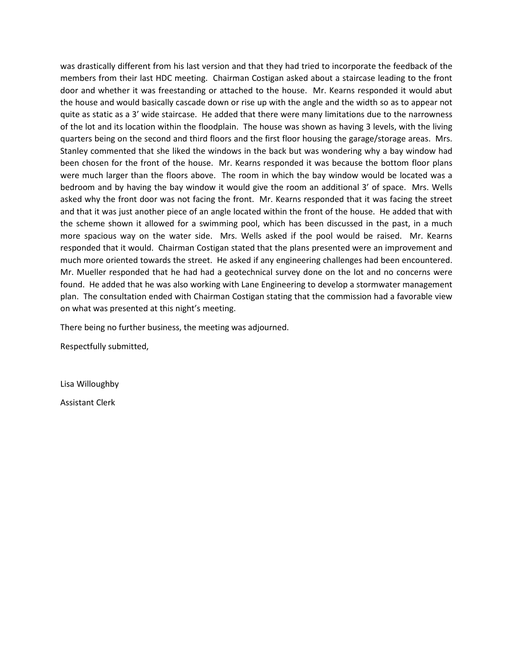was drastically different from his last version and that they had tried to incorporate the feedback of the members from their last HDC meeting. Chairman Costigan asked about a staircase leading to the front door and whether it was freestanding or attached to the house. Mr. Kearns responded it would abut the house and would basically cascade down or rise up with the angle and the width so as to appear not quite as static as a 3' wide staircase. He added that there were many limitations due to the narrowness of the lot and its location within the floodplain. The house was shown as having 3 levels, with the living quarters being on the second and third floors and the first floor housing the garage/storage areas. Mrs. Stanley commented that she liked the windows in the back but was wondering why a bay window had been chosen for the front of the house. Mr. Kearns responded it was because the bottom floor plans were much larger than the floors above. The room in which the bay window would be located was a bedroom and by having the bay window it would give the room an additional 3' of space. Mrs. Wells asked why the front door was not facing the front. Mr. Kearns responded that it was facing the street and that it was just another piece of an angle located within the front of the house. He added that with the scheme shown it allowed for a swimming pool, which has been discussed in the past, in a much more spacious way on the water side. Mrs. Wells asked if the pool would be raised. Mr. Kearns responded that it would. Chairman Costigan stated that the plans presented were an improvement and much more oriented towards the street. He asked if any engineering challenges had been encountered. Mr. Mueller responded that he had had a geotechnical survey done on the lot and no concerns were found. He added that he was also working with Lane Engineering to develop a stormwater management plan. The consultation ended with Chairman Costigan stating that the commission had a favorable view on what was presented at this night's meeting.

There being no further business, the meeting was adjourned.

Respectfully submitted,

Lisa Willoughby

Assistant Clerk